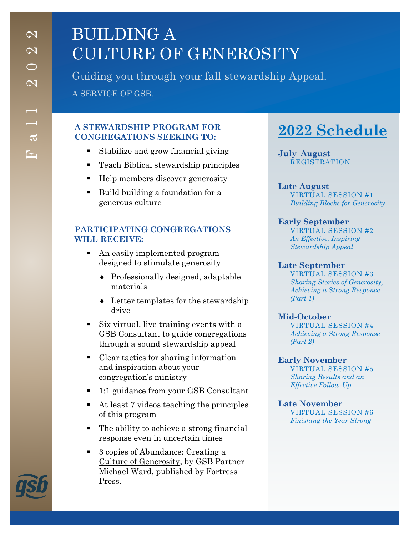# BUILDING A CULTURE OF GENEROSITY

Guiding you through your fall stewardship Appeal. A SERVICE OF GSB.

### **A STEWARDSHIP PROGRAM FOR CONGREGATIONS SEEKING TO:**

- Stabilize and grow financial giving
- Teach Biblical stewardship principles
- Help members discover generosity
- Build building a foundation for a generous culture

## **PARTICIPATING CONGREGATIONS WILL RECEIVE:**

- An easily implemented program designed to stimulate generosity
	- Professionally designed, adaptable materials
	- Letter templates for the stewardship drive
- Six virtual, live training events with a GSB Consultant to guide congregations through a sound stewardship appeal
- Clear tactics for sharing information and inspiration about your congregation's ministry
- 1:1 guidance from your GSB Consultant
- $\blacksquare$  At least 7 videos teaching the principles of this program
- The ability to achieve a strong financial response even in uncertain times
- 3 copies of Abundance: Creating a Culture of Generosity, by GSB Partner Michael Ward, published by Fortress Press.

## **2022 Schedule**

**July–August** REGISTRATION

**Late August** VIRTUAL SESSION #1 *Building Blocks for Generosity*

### **Early September**

VIRTUAL SESSION #2 *An Effective, Inspiring Stewardship Appeal*

#### **Late September**

VIRTUAL SESSION #3 *Sharing Stories of Generosity, Achieving a Strong Response (Part 1)*

#### **Mid-October**

VIRTUAL SESSION #4 *Achieving a Strong Response (Part 2)*

#### **Early November**

VIRTUAL SESSION #5 *Sharing Results and an Effective Follow-Up*

**Late November** VIRTUAL SESSION #6 *Finishing the Year Strong*